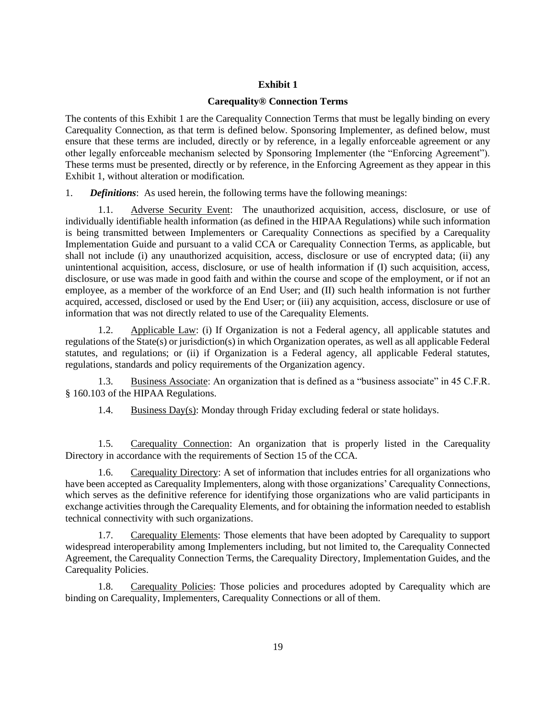# **Exhibit 1**

## **Carequality® Connection Terms**

The contents of this Exhibit 1 are the Carequality Connection Terms that must be legally binding on every Carequality Connection, as that term is defined below. Sponsoring Implementer, as defined below, must ensure that these terms are included, directly or by reference, in a legally enforceable agreement or any other legally enforceable mechanism selected by Sponsoring Implementer (the "Enforcing Agreement"). These terms must be presented, directly or by reference, in the Enforcing Agreement as they appear in this Exhibit 1, without alteration or modification.

1. *Definitions*: As used herein, the following terms have the following meanings:

1.1. Adverse Security Event: The unauthorized acquisition, access, disclosure, or use of individually identifiable health information (as defined in the HIPAA Regulations) while such information is being transmitted between Implementers or Carequality Connections as specified by a Carequality Implementation Guide and pursuant to a valid CCA or Carequality Connection Terms, as applicable, but shall not include (i) any unauthorized acquisition, access, disclosure or use of encrypted data; (ii) any unintentional acquisition, access, disclosure, or use of health information if (I) such acquisition, access, disclosure, or use was made in good faith and within the course and scope of the employment, or if not an employee, as a member of the workforce of an End User; and (II) such health information is not further acquired, accessed, disclosed or used by the End User; or (iii) any acquisition, access, disclosure or use of information that was not directly related to use of the Carequality Elements.

1.2. Applicable Law: (i) If Organization is not a Federal agency, all applicable statutes and regulations of the State(s) or jurisdiction(s) in which Organization operates, as well as all applicable Federal statutes, and regulations; or (ii) if Organization is a Federal agency, all applicable Federal statutes, regulations, standards and policy requirements of the Organization agency.

1.3. Business Associate: An organization that is defined as a "business associate" in 45 C.F.R. § 160.103 of the HIPAA Regulations.

1.4. Business Day(s): Monday through Friday excluding federal or state holidays.

1.5. Carequality Connection: An organization that is properly listed in the Carequality Directory in accordance with the requirements of Section 15 of the CCA.

1.6. Carequality Directory: A set of information that includes entries for all organizations who have been accepted as Carequality Implementers, along with those organizations' Carequality Connections, which serves as the definitive reference for identifying those organizations who are valid participants in exchange activities through the Carequality Elements, and for obtaining the information needed to establish technical connectivity with such organizations.

1.7. Carequality Elements: Those elements that have been adopted by Carequality to support widespread interoperability among Implementers including, but not limited to, the Carequality Connected Agreement, the Carequality Connection Terms, the Carequality Directory, Implementation Guides, and the Carequality Policies.

1.8. Carequality Policies: Those policies and procedures adopted by Carequality which are binding on Carequality, Implementers, Carequality Connections or all of them.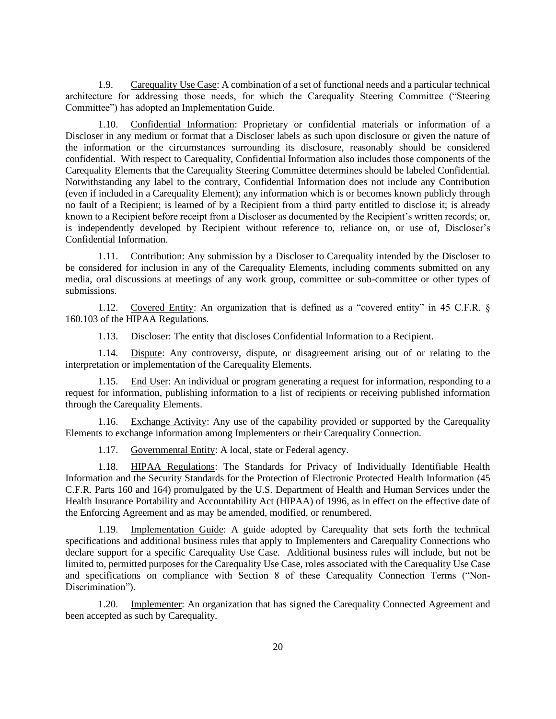1.9. Carequality Use Case: A combination of a set of functional needs and a particular technical architecture for addressing those needs, for which the Carequality Steering Committee ("Steering Committee") has adopted an Implementation Guide.

1.10. Confidential Information: Proprietary or confidential materials or information of a Discloser in any medium or format that a Discloser labels as such upon disclosure or given the nature of the information or the circumstances surrounding its disclosure, reasonably should be considered confidential. With respect to Carequality, Confidential Information also includes those components of the Carequality Elements that the Carequality Steering Committee determines should be labeled Confidential. Notwithstanding any label to the contrary, Confidential Information does not include any Contribution (even if included in a Carequality Element); any information which is or becomes known publicly through no fault of a Recipient; is learned of by a Recipient from a third party entitled to disclose it; is already known to a Recipient before receipt from a Discloser as documented by the Recipient's written records; or, is independently developed by Recipient without reference to, reliance on, or use of, Discloser's Confidential Information.

1.11. Contribution: Any submission by a Discloser to Carequality intended by the Discloser to be considered for inclusion in any of the Carequality Elements, including comments submitted on any media, oral discussions at meetings of any work group, committee or sub-committee or other types of submissions.

1.12. Covered Entity: An organization that is defined as a "covered entity" in 45 C.F.R. § 160.103 of the HIPAA Regulations.

1.13. Discloser: The entity that discloses Confidential Information to a Recipient.

1.14. Dispute: Any controversy, dispute, or disagreement arising out of or relating to the interpretation or implementation of the Carequality Elements.

1.15. End User: An individual or program generating a request for information, responding to a request for information, publishing information to a list of recipients or receiving published information through the Carequality Elements.

1.16. Exchange Activity: Any use of the capability provided or supported by the Carequality Elements to exchange information among Implementers or their Carequality Connection.

1.17. Governmental Entity: A local, state or Federal agency.

1.18. HIPAA Regulations: The Standards for Privacy of Individually Identifiable Health Information and the Security Standards for the Protection of Electronic Protected Health Information (45 C.F.R. Parts 160 and 164) promulgated by the U.S. Department of Health and Human Services under the Health Insurance Portability and Accountability Act (HIPAA) of 1996, as in effect on the effective date of the Enforcing Agreement and as may be amended, modified, or renumbered.

Implementation Guide: A guide adopted by Carequality that sets forth the technical specifications and additional business rules that apply to Implementers and Carequality Connections who declare support for a specific Carequality Use Case. Additional business rules will include, but not be limited to, permitted purposes for the Carequality Use Case, roles associated with the Carequality Use Case and specifications on compliance with Section 8 of these Carequality Connection Terms ("Non-Discrimination").

1.20. Implementer: An organization that has signed the Carequality Connected Agreement and been accepted as such by Carequality.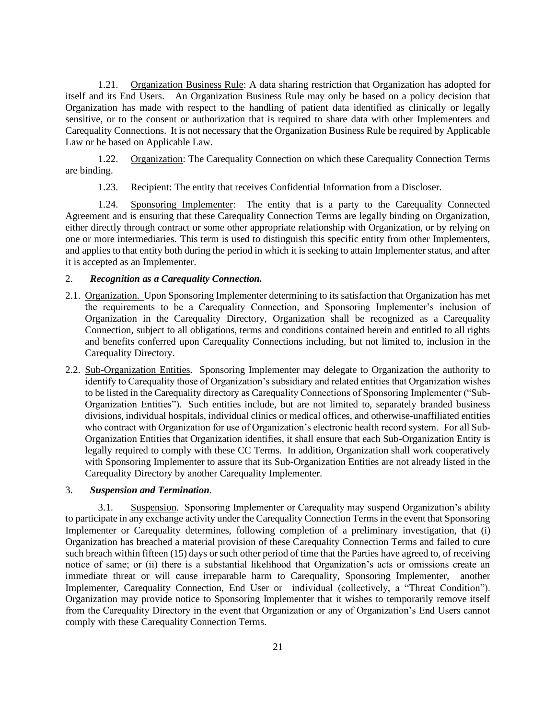1.21. Organization Business Rule: A data sharing restriction that Organization has adopted for itself and its End Users. An Organization Business Rule may only be based on a policy decision that Organization has made with respect to the handling of patient data identified as clinically or legally sensitive, or to the consent or authorization that is required to share data with other Implementers and Carequality Connections. It is not necessary that the Organization Business Rule be required by Applicable Law or be based on Applicable Law.

1.22. Organization: The Carequality Connection on which these Carequality Connection Terms are binding.

1.23. Recipient: The entity that receives Confidential Information from a Discloser.

1.24. Sponsoring Implementer: The entity that is a party to the Carequality Connected Agreement and is ensuring that these Carequality Connection Terms are legally binding on Organization, either directly through contract or some other appropriate relationship with Organization, or by relying on one or more intermediaries. This term is used to distinguish this specific entity from other Implementers, and applies to that entity both during the period in which it is seeking to attain Implementer status, and after it is accepted as an Implementer.

#### 2. *Recognition as a Carequality Connection.*

- 2.1. Organization. Upon Sponsoring Implementer determining to its satisfaction that Organization has met the requirements to be a Carequality Connection, and Sponsoring Implementer's inclusion of Organization in the Carequality Directory, Organization shall be recognized as a Carequality Connection, subject to all obligations, terms and conditions contained herein and entitled to all rights and benefits conferred upon Carequality Connections including, but not limited to, inclusion in the Carequality Directory.
- 2.2. Sub-Organization Entities. Sponsoring Implementer may delegate to Organization the authority to identify to Carequality those of Organization's subsidiary and related entities that Organization wishes to be listed in the Carequality directory as Carequality Connections of Sponsoring Implementer ("Sub-Organization Entities"). Such entities include, but are not limited to, separately branded business divisions, individual hospitals, individual clinics or medical offices, and otherwise-unaffiliated entities who contract with Organization for use of Organization's electronic health record system. For all Sub-Organization Entities that Organization identifies, it shall ensure that each Sub-Organization Entity is legally required to comply with these CC Terms. In addition, Organization shall work cooperatively with Sponsoring Implementer to assure that its Sub-Organization Entities are not already listed in the Carequality Directory by another Carequality Implementer.

#### 3. *Suspension and Termination*.

3.1. Suspension. Sponsoring Implementer or Carequality may suspend Organization's ability to participate in any exchange activity under the Carequality Connection Terms in the event that Sponsoring Implementer or Carequality determines, following completion of a preliminary investigation, that (i) Organization has breached a material provision of these Carequality Connection Terms and failed to cure such breach within fifteen (15) days or such other period of time that the Parties have agreed to, of receiving notice of same; or (ii) there is a substantial likelihood that Organization's acts or omissions create an immediate threat or will cause irreparable harm to Carequality, Sponsoring Implementer, another Implementer, Carequality Connection, End User or individual (collectively, a "Threat Condition"). Organization may provide notice to Sponsoring Implementer that it wishes to temporarily remove itself from the Carequality Directory in the event that Organization or any of Organization's End Users cannot comply with these Carequality Connection Terms.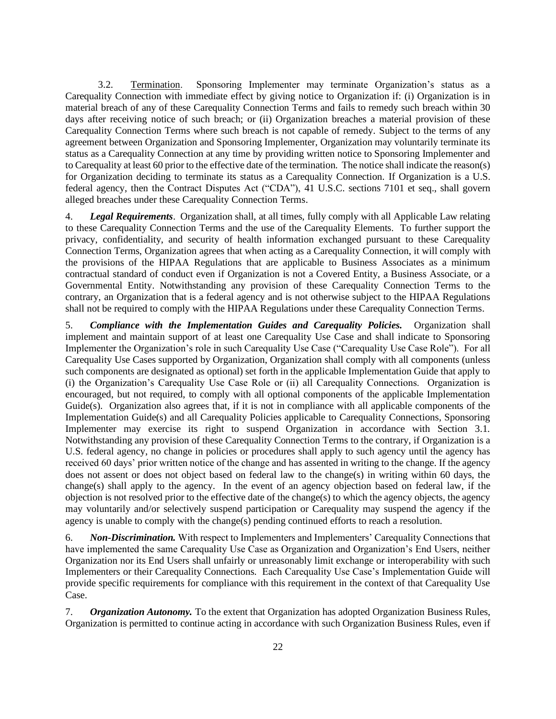3.2. Termination. Sponsoring Implementer may terminate Organization's status as a Carequality Connection with immediate effect by giving notice to Organization if: (i) Organization is in material breach of any of these Carequality Connection Terms and fails to remedy such breach within 30 days after receiving notice of such breach; or (ii) Organization breaches a material provision of these Carequality Connection Terms where such breach is not capable of remedy. Subject to the terms of any agreement between Organization and Sponsoring Implementer, Organization may voluntarily terminate its status as a Carequality Connection at any time by providing written notice to Sponsoring Implementer and to Carequality at least 60 prior to the effective date of the termination. The notice shall indicate the reason(s) for Organization deciding to terminate its status as a Carequality Connection. If Organization is a U.S. federal agency, then the Contract Disputes Act ("CDA"), 41 U.S.C. sections 7101 et seq., shall govern alleged breaches under these Carequality Connection Terms.

4. *Legal Requirements*. Organization shall, at all times, fully comply with all Applicable Law relating to these Carequality Connection Terms and the use of the Carequality Elements. To further support the privacy, confidentiality, and security of health information exchanged pursuant to these Carequality Connection Terms, Organization agrees that when acting as a Carequality Connection, it will comply with the provisions of the HIPAA Regulations that are applicable to Business Associates as a minimum contractual standard of conduct even if Organization is not a Covered Entity, a Business Associate, or a Governmental Entity. Notwithstanding any provision of these Carequality Connection Terms to the contrary, an Organization that is a federal agency and is not otherwise subject to the HIPAA Regulations shall not be required to comply with the HIPAA Regulations under these Carequality Connection Terms.

5. *Compliance with the Implementation Guides and Carequality Policies.* Organization shall implement and maintain support of at least one Carequality Use Case and shall indicate to Sponsoring Implementer the Organization's role in such Carequality Use Case ("Carequality Use Case Role"). For all Carequality Use Cases supported by Organization, Organization shall comply with all components (unless such components are designated as optional) set forth in the applicable Implementation Guide that apply to (i) the Organization's Carequality Use Case Role or (ii) all Carequality Connections. Organization is encouraged, but not required, to comply with all optional components of the applicable Implementation Guide(s). Organization also agrees that, if it is not in compliance with all applicable components of the Implementation Guide(s) and all Carequality Policies applicable to Carequality Connections, Sponsoring Implementer may exercise its right to suspend Organization in accordance with Section 3.1. Notwithstanding any provision of these Carequality Connection Terms to the contrary, if Organization is a U.S. federal agency, no change in policies or procedures shall apply to such agency until the agency has received 60 days' prior written notice of the change and has assented in writing to the change. If the agency does not assent or does not object based on federal law to the change(s) in writing within 60 days, the change(s) shall apply to the agency. In the event of an agency objection based on federal law, if the objection is not resolved prior to the effective date of the change(s) to which the agency objects, the agency may voluntarily and/or selectively suspend participation or Carequality may suspend the agency if the agency is unable to comply with the change(s) pending continued efforts to reach a resolution.

6. *Non-Discrimination.* With respect to Implementers and Implementers' Carequality Connections that have implemented the same Carequality Use Case as Organization and Organization's End Users, neither Organization nor its End Users shall unfairly or unreasonably limit exchange or interoperability with such Implementers or their Carequality Connections. Each Carequality Use Case's Implementation Guide will provide specific requirements for compliance with this requirement in the context of that Carequality Use Case.

7. *Organization Autonomy.* To the extent that Organization has adopted Organization Business Rules, Organization is permitted to continue acting in accordance with such Organization Business Rules, even if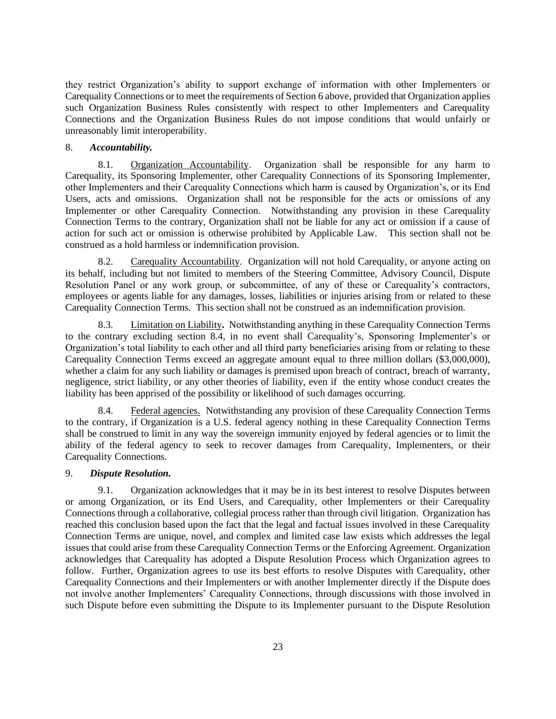they restrict Organization's ability to support exchange of information with other Implementers or Carequality Connections or to meet the requirements of Section 6 above, provided that Organization applies such Organization Business Rules consistently with respect to other Implementers and Carequality Connections and the Organization Business Rules do not impose conditions that would unfairly or unreasonably limit interoperability.

## 8. *Accountability.*

8.1. Organization Accountability. Organization shall be responsible for any harm to Carequality, its Sponsoring Implementer, other Carequality Connections of its Sponsoring Implementer, other Implementers and their Carequality Connections which harm is caused by Organization's, or its End Users, acts and omissions. Organization shall not be responsible for the acts or omissions of any Implementer or other Carequality Connection. Notwithstanding any provision in these Carequality Connection Terms to the contrary, Organization shall not be liable for any act or omission if a cause of action for such act or omission is otherwise prohibited by Applicable Law. This section shall not be construed as a hold harmless or indemnification provision.

8.2. Carequality Accountability. Organization will not hold Carequality, or anyone acting on its behalf, including but not limited to members of the Steering Committee, Advisory Council, Dispute Resolution Panel or any work group, or subcommittee, of any of these or Carequality's contractors, employees or agents liable for any damages, losses, liabilities or injuries arising from or related to these Carequality Connection Terms. This section shall not be construed as an indemnification provision.

8.3. Limitation on Liability**.** Notwithstanding anything in these Carequality Connection Terms to the contrary excluding section 8.4, in no event shall Carequality's, Sponsoring Implementer's or Organization's total liability to each other and all third party beneficiaries arising from or relating to these Carequality Connection Terms exceed an aggregate amount equal to three million dollars (\$3,000,000), whether a claim for any such liability or damages is premised upon breach of contract, breach of warranty, negligence, strict liability, or any other theories of liability, even if the entity whose conduct creates the liability has been apprised of the possibility or likelihood of such damages occurring.

8.4. Federal agencies. Notwithstanding any provision of these Carequality Connection Terms to the contrary, if Organization is a U.S. federal agency nothing in these Carequality Connection Terms shall be construed to limit in any way the sovereign immunity enjoyed by federal agencies or to limit the ability of the federal agency to seek to recover damages from Carequality, Implementers, or their Carequality Connections.

#### 9. *Dispute Resolution.*

9.1. Organization acknowledges that it may be in its best interest to resolve Disputes between or among Organization, or its End Users, and Carequality, other Implementers or their Carequality Connections through a collaborative, collegial process rather than through civil litigation. Organization has reached this conclusion based upon the fact that the legal and factual issues involved in these Carequality Connection Terms are unique, novel, and complex and limited case law exists which addresses the legal issues that could arise from these Carequality Connection Terms or the Enforcing Agreement. Organization acknowledges that Carequality has adopted a Dispute Resolution Process which Organization agrees to follow. Further, Organization agrees to use its best efforts to resolve Disputes with Carequality, other Carequality Connections and their Implementers or with another Implementer directly if the Dispute does not involve another Implementers' Carequality Connections, through discussions with those involved in such Dispute before even submitting the Dispute to its Implementer pursuant to the Dispute Resolution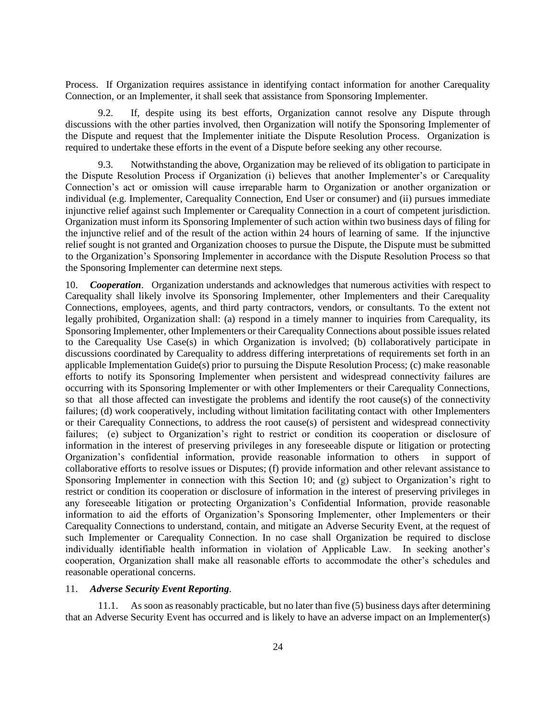Process. If Organization requires assistance in identifying contact information for another Carequality Connection, or an Implementer, it shall seek that assistance from Sponsoring Implementer.

9.2. If, despite using its best efforts, Organization cannot resolve any Dispute through discussions with the other parties involved, then Organization will notify the Sponsoring Implementer of the Dispute and request that the Implementer initiate the Dispute Resolution Process. Organization is required to undertake these efforts in the event of a Dispute before seeking any other recourse.

9.3. Notwithstanding the above, Organization may be relieved of its obligation to participate in the Dispute Resolution Process if Organization (i) believes that another Implementer's or Carequality Connection's act or omission will cause irreparable harm to Organization or another organization or individual (e.g. Implementer, Carequality Connection, End User or consumer) and (ii) pursues immediate injunctive relief against such Implementer or Carequality Connection in a court of competent jurisdiction. Organization must inform its Sponsoring Implementer of such action within two business days of filing for the injunctive relief and of the result of the action within 24 hours of learning of same. If the injunctive relief sought is not granted and Organization chooses to pursue the Dispute, the Dispute must be submitted to the Organization's Sponsoring Implementer in accordance with the Dispute Resolution Process so that the Sponsoring Implementer can determine next steps.

10. *Cooperation*. Organization understands and acknowledges that numerous activities with respect to Carequality shall likely involve its Sponsoring Implementer, other Implementers and their Carequality Connections, employees, agents, and third party contractors, vendors, or consultants. To the extent not legally prohibited, Organization shall: (a) respond in a timely manner to inquiries from Carequality, its Sponsoring Implementer, other Implementers or their Carequality Connections about possible issues related to the Carequality Use Case(s) in which Organization is involved; (b) collaboratively participate in discussions coordinated by Carequality to address differing interpretations of requirements set forth in an applicable Implementation Guide(s) prior to pursuing the Dispute Resolution Process; (c) make reasonable efforts to notify its Sponsoring Implementer when persistent and widespread connectivity failures are occurring with its Sponsoring Implementer or with other Implementers or their Carequality Connections, so that all those affected can investigate the problems and identify the root cause(s) of the connectivity failures; (d) work cooperatively, including without limitation facilitating contact with other Implementers or their Carequality Connections, to address the root cause(s) of persistent and widespread connectivity failures; (e) subject to Organization's right to restrict or condition its cooperation or disclosure of information in the interest of preserving privileges in any foreseeable dispute or litigation or protecting Organization's confidential information, provide reasonable information to others in support of collaborative efforts to resolve issues or Disputes; (f) provide information and other relevant assistance to Sponsoring Implementer in connection with this Section 10; and (g) subject to Organization's right to restrict or condition its cooperation or disclosure of information in the interest of preserving privileges in any foreseeable litigation or protecting Organization's Confidential Information, provide reasonable information to aid the efforts of Organization's Sponsoring Implementer, other Implementers or their Carequality Connections to understand, contain, and mitigate an Adverse Security Event, at the request of such Implementer or Carequality Connection. In no case shall Organization be required to disclose individually identifiable health information in violation of Applicable Law. In seeking another's cooperation, Organization shall make all reasonable efforts to accommodate the other's schedules and reasonable operational concerns.

## 11. *Adverse Security Event Reporting*.

11.1. As soon as reasonably practicable, but no later than five (5) business days after determining that an Adverse Security Event has occurred and is likely to have an adverse impact on an Implementer(s)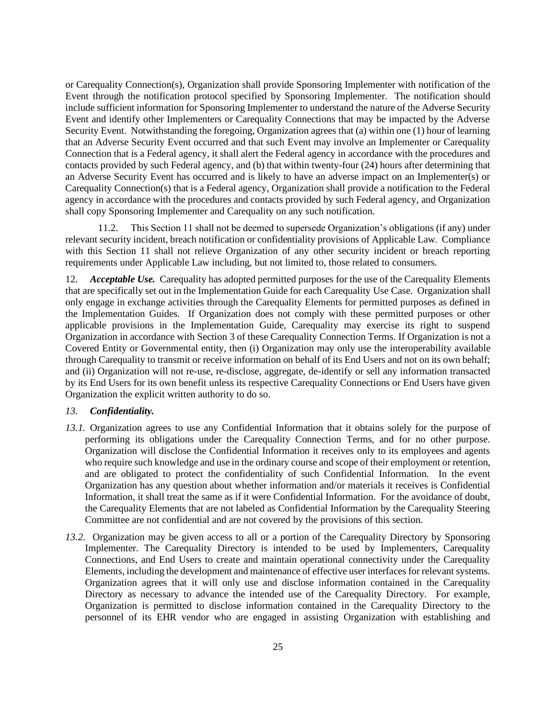or Carequality Connection(s), Organization shall provide Sponsoring Implementer with notification of the Event through the notification protocol specified by Sponsoring Implementer. The notification should include sufficient information for Sponsoring Implementer to understand the nature of the Adverse Security Event and identify other Implementers or Carequality Connections that may be impacted by the Adverse Security Event. Notwithstanding the foregoing, Organization agrees that (a) within one (1) hour of learning that an Adverse Security Event occurred and that such Event may involve an Implementer or Carequality Connection that is a Federal agency, it shall alert the Federal agency in accordance with the procedures and contacts provided by such Federal agency, and (b) that within twenty-four (24) hours after determining that an Adverse Security Event has occurred and is likely to have an adverse impact on an Implementer(s) or Carequality Connection(s) that is a Federal agency, Organization shall provide a notification to the Federal agency in accordance with the procedures and contacts provided by such Federal agency, and Organization shall copy Sponsoring Implementer and Carequality on any such notification.

11.2. This Section 11 shall not be deemed to supersede Organization's obligations (if any) under relevant security incident, breach notification or confidentiality provisions of Applicable Law. Compliance with this Section 11 shall not relieve Organization of any other security incident or breach reporting requirements under Applicable Law including, but not limited to, those related to consumers.

12. *Acceptable Use.* Carequality has adopted permitted purposes for the use of the Carequality Elements that are specifically set out in the Implementation Guide for each Carequality Use Case. Organization shall only engage in exchange activities through the Carequality Elements for permitted purposes as defined in the Implementation Guides. If Organization does not comply with these permitted purposes or other applicable provisions in the Implementation Guide, Carequality may exercise its right to suspend Organization in accordance with Section 3 of these Carequality Connection Terms. If Organization is not a Covered Entity or Governmental entity, then (i) Organization may only use the interoperability available through Carequality to transmit or receive information on behalf of its End Users and not on its own behalf; and (ii) Organization will not re-use, re-disclose, aggregate, de-identify or sell any information transacted by its End Users for its own benefit unless its respective Carequality Connections or End Users have given Organization the explicit written authority to do so.

## *13. Confidentiality.*

- *13.1.* Organization agrees to use any Confidential Information that it obtains solely for the purpose of performing its obligations under the Carequality Connection Terms, and for no other purpose. Organization will disclose the Confidential Information it receives only to its employees and agents who require such knowledge and use in the ordinary course and scope of their employment or retention, and are obligated to protect the confidentiality of such Confidential Information. In the event Organization has any question about whether information and/or materials it receives is Confidential Information, it shall treat the same as if it were Confidential Information. For the avoidance of doubt, the Carequality Elements that are not labeled as Confidential Information by the Carequality Steering Committee are not confidential and are not covered by the provisions of this section.
- *13.2.* Organization may be given access to all or a portion of the Carequality Directory by Sponsoring Implementer. The Carequality Directory is intended to be used by Implementers, Carequality Connections, and End Users to create and maintain operational connectivity under the Carequality Elements, including the development and maintenance of effective user interfaces for relevant systems. Organization agrees that it will only use and disclose information contained in the Carequality Directory as necessary to advance the intended use of the Carequality Directory. For example, Organization is permitted to disclose information contained in the Carequality Directory to the personnel of its EHR vendor who are engaged in assisting Organization with establishing and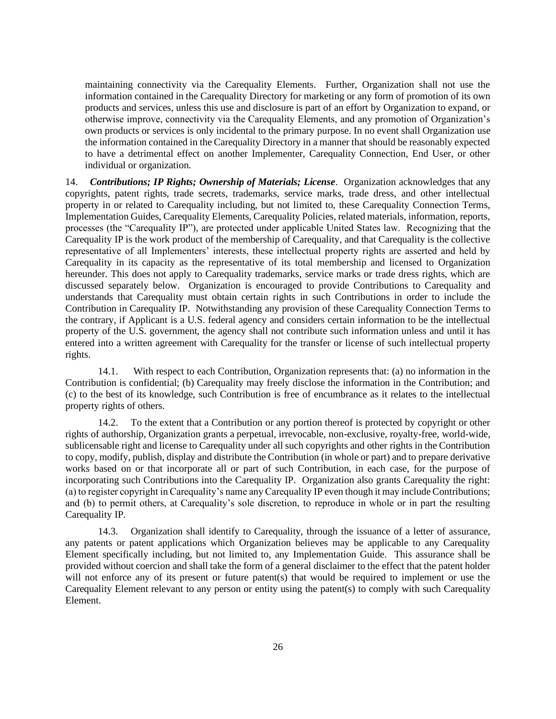maintaining connectivity via the Carequality Elements. Further, Organization shall not use the information contained in the Carequality Directory for marketing or any form of promotion of its own products and services, unless this use and disclosure is part of an effort by Organization to expand, or otherwise improve, connectivity via the Carequality Elements, and any promotion of Organization's own products or services is only incidental to the primary purpose. In no event shall Organization use the information contained in the Carequality Directory in a manner that should be reasonably expected to have a detrimental effect on another Implementer, Carequality Connection, End User, or other individual or organization.

14. *Contributions; IP Rights; Ownership of Materials; License*. Organization acknowledges that any copyrights, patent rights, trade secrets, trademarks, service marks, trade dress, and other intellectual property in or related to Carequality including, but not limited to, these Carequality Connection Terms, Implementation Guides, Carequality Elements, Carequality Policies, related materials, information, reports, processes (the "Carequality IP"), are protected under applicable United States law. Recognizing that the Carequality IP is the work product of the membership of Carequality, and that Carequality is the collective representative of all Implementers' interests, these intellectual property rights are asserted and held by Carequality in its capacity as the representative of its total membership and licensed to Organization hereunder. This does not apply to Carequality trademarks, service marks or trade dress rights, which are discussed separately below. Organization is encouraged to provide Contributions to Carequality and understands that Carequality must obtain certain rights in such Contributions in order to include the Contribution in Carequality IP. Notwithstanding any provision of these Carequality Connection Terms to the contrary, if Applicant is a U.S. federal agency and considers certain information to be the intellectual property of the U.S. government, the agency shall not contribute such information unless and until it has entered into a written agreement with Carequality for the transfer or license of such intellectual property rights.

14.1. With respect to each Contribution, Organization represents that: (a) no information in the Contribution is confidential; (b) Carequality may freely disclose the information in the Contribution; and (c) to the best of its knowledge, such Contribution is free of encumbrance as it relates to the intellectual property rights of others.

14.2. To the extent that a Contribution or any portion thereof is protected by copyright or other rights of authorship, Organization grants a perpetual, irrevocable, non-exclusive, royalty-free, world-wide, sublicensable right and license to Carequality under all such copyrights and other rights in the Contribution to copy, modify, publish, display and distribute the Contribution (in whole or part) and to prepare derivative works based on or that incorporate all or part of such Contribution, in each case, for the purpose of incorporating such Contributions into the Carequality IP. Organization also grants Carequality the right: (a) to register copyright in Carequality's name any Carequality IP even though it may include Contributions; and (b) to permit others, at Carequality's sole discretion, to reproduce in whole or in part the resulting Carequality IP.

14.3. Organization shall identify to Carequality, through the issuance of a letter of assurance, any patents or patent applications which Organization believes may be applicable to any Carequality Element specifically including, but not limited to, any Implementation Guide. This assurance shall be provided without coercion and shall take the form of a general disclaimer to the effect that the patent holder will not enforce any of its present or future patent(s) that would be required to implement or use the Carequality Element relevant to any person or entity using the patent(s) to comply with such Carequality Element.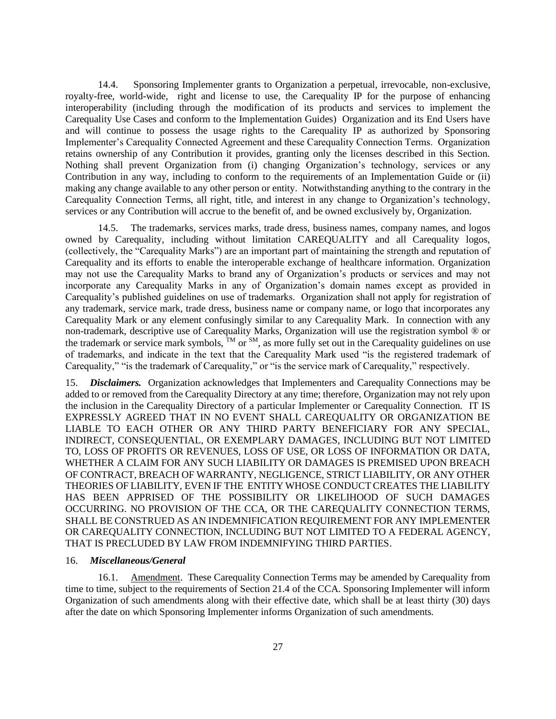14.4. Sponsoring Implementer grants to Organization a perpetual, irrevocable, non-exclusive, royalty-free, world-wide, right and license to use, the Carequality IP for the purpose of enhancing interoperability (including through the modification of its products and services to implement the Carequality Use Cases and conform to the Implementation Guides) Organization and its End Users have and will continue to possess the usage rights to the Carequality IP as authorized by Sponsoring Implementer's Carequality Connected Agreement and these Carequality Connection Terms. Organization retains ownership of any Contribution it provides, granting only the licenses described in this Section. Nothing shall prevent Organization from (i) changing Organization's technology, services or any Contribution in any way, including to conform to the requirements of an Implementation Guide or (ii) making any change available to any other person or entity. Notwithstanding anything to the contrary in the Carequality Connection Terms, all right, title, and interest in any change to Organization's technology, services or any Contribution will accrue to the benefit of, and be owned exclusively by, Organization.

14.5. The trademarks, services marks, trade dress, business names, company names, and logos owned by Carequality, including without limitation CAREQUALITY and all Carequality logos, (collectively, the "Carequality Marks") are an important part of maintaining the strength and reputation of Carequality and its efforts to enable the interoperable exchange of healthcare information. Organization may not use the Carequality Marks to brand any of Organization's products or services and may not incorporate any Carequality Marks in any of Organization's domain names except as provided in Carequality's published guidelines on use of trademarks. Organization shall not apply for registration of any trademark, service mark, trade dress, business name or company name, or logo that incorporates any Carequality Mark or any element confusingly similar to any Carequality Mark. In connection with any non-trademark, descriptive use of Carequality Marks, Organization will use the registration symbol ® or the trademark or service mark symbols,  $^{TM}$  or  $^{SM}$ , as more fully set out in the Carequality guidelines on use of trademarks, and indicate in the text that the Carequality Mark used "is the registered trademark of Carequality," "is the trademark of Carequality," or "is the service mark of Carequality," respectively.

15. *Disclaimers.* Organization acknowledges that Implementers and Carequality Connections may be added to or removed from the Carequality Directory at any time; therefore, Organization may not rely upon the inclusion in the Carequality Directory of a particular Implementer or Carequality Connection. IT IS EXPRESSLY AGREED THAT IN NO EVENT SHALL CAREQUALITY OR ORGANIZATION BE LIABLE TO EACH OTHER OR ANY THIRD PARTY BENEFICIARY FOR ANY SPECIAL, INDIRECT, CONSEQUENTIAL, OR EXEMPLARY DAMAGES, INCLUDING BUT NOT LIMITED TO, LOSS OF PROFITS OR REVENUES, LOSS OF USE, OR LOSS OF INFORMATION OR DATA, WHETHER A CLAIM FOR ANY SUCH LIABILITY OR DAMAGES IS PREMISED UPON BREACH OF CONTRACT, BREACH OF WARRANTY, NEGLIGENCE, STRICT LIABILITY, OR ANY OTHER THEORIES OF LIABILITY, EVEN IF THE ENTITY WHOSE CONDUCT CREATES THE LIABILITY HAS BEEN APPRISED OF THE POSSIBILITY OR LIKELIHOOD OF SUCH DAMAGES OCCURRING. NO PROVISION OF THE CCA, OR THE CAREQUALITY CONNECTION TERMS, SHALL BE CONSTRUED AS AN INDEMNIFICATION REQUIREMENT FOR ANY IMPLEMENTER OR CAREQUALITY CONNECTION, INCLUDING BUT NOT LIMITED TO A FEDERAL AGENCY, THAT IS PRECLUDED BY LAW FROM INDEMNIFYING THIRD PARTIES.

#### 16. *Miscellaneous/General*

16.1. Amendment. These Carequality Connection Terms may be amended by Carequality from time to time, subject to the requirements of Section 21.4 of the CCA. Sponsoring Implementer will inform Organization of such amendments along with their effective date, which shall be at least thirty (30) days after the date on which Sponsoring Implementer informs Organization of such amendments.